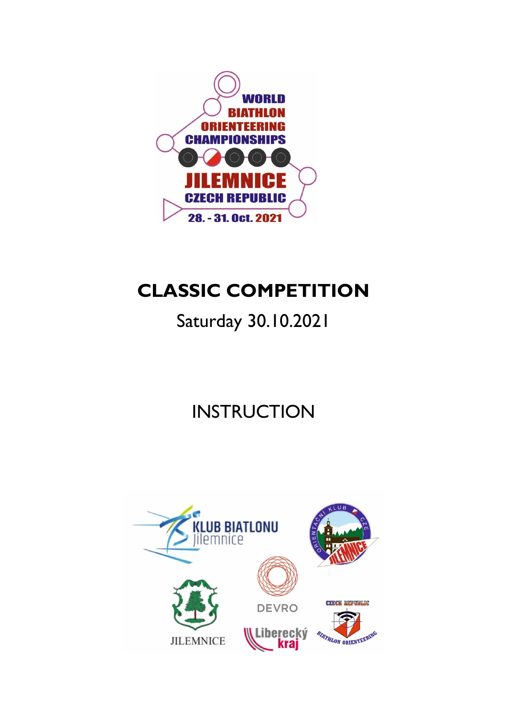

# **CLASSIC COMPETITION**

# Saturday 30.10.2021

# **INSTRUCTION**

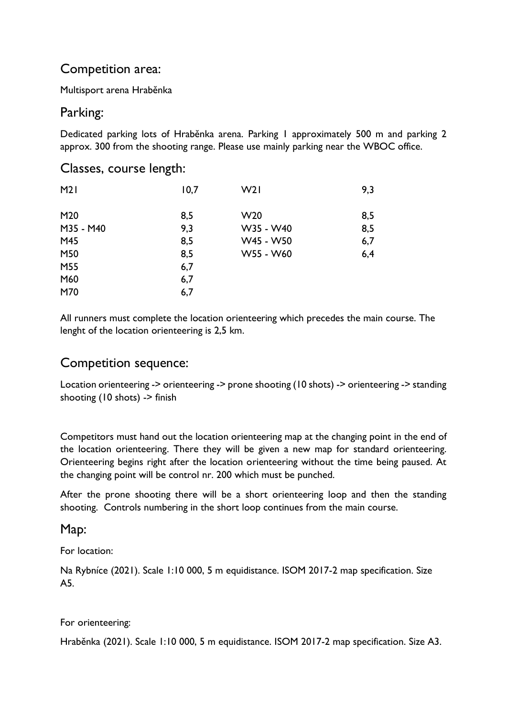## Competition area:

Multisport arena Hraběnka

## Parking:

Dedicated parking lots of Hraběnka arena. Parking 1 approximately 500 m and parking 2 approx. 300 from the shooting range. Please use mainly parking near the WBOC office.

#### Classes, course length:

| M21       | 10,7 | W21             | 9,3 |
|-----------|------|-----------------|-----|
| M20       | 8,5  | W <sub>20</sub> | 8,5 |
| M35 - M40 | 9,3  | W35 - W40       | 8,5 |
| M45       | 8,5  | W45 - W50       | 6,7 |
| M50       | 8,5  | W55 - W60       | 6,4 |
| M55       | 6,7  |                 |     |
| M60       | 6,7  |                 |     |
| M70       | 6,7  |                 |     |

All runners must complete the location orienteering which precedes the main course. The lenght of the location orienteering is 2,5 km.

### Competition sequence:

Location orienteering -> orienteering -> prone shooting (10 shots) -> orienteering -> standing shooting (10 shots) -> finish

Competitors must hand out the location orienteering map at the changing point in the end of the location orienteering. There they will be given a new map for standard orienteering. Orienteering begins right after the location orienteering without the time being paused. At the changing point will be control nr. 200 which must be punched.

After the prone shooting there will be a short orienteering loop and then the standing shooting. Controls numbering in the short loop continues from the main course.

#### Map:

For location:

Na Rybníce (2021). Scale 1:10 000, 5 m equidistance. ISOM 2017-2 map specification. Size A5.

#### For orienteering:

Hraběnka (2021). Scale 1:10 000, 5 m equidistance. ISOM 2017-2 map specification. Size A3.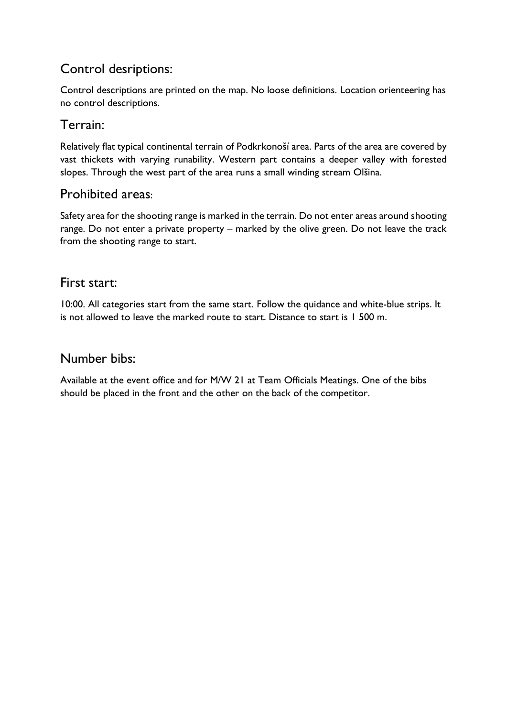## Control desriptions:

Control descriptions are printed on the map. No loose definitions. Location orienteering has no control descriptions.

### Terrain:

Relatively flat typical continental terrain of Podkrkonoší area. Parts of the area are covered by vast thickets with varying runability. Western part contains a deeper valley with forested slopes. Through the west part of the area runs a small winding stream Olšina.

### Prohibited areas:

Safety area for the shooting range is marked in the terrain. Do not enter areas around shooting range. Do not enter a private property – marked by the olive green. Do not leave the track from the shooting range to start.

### First start:

10:00. All categories start from the same start. Follow the quidance and white-blue strips. It is not allowed to leave the marked route to start. Distance to start is 1 500 m.

#### Number bibs:

Available at the event office and for M/W 21 at Team Officials Meatings. One of the bibs should be placed in the front and the other on the back of the competitor.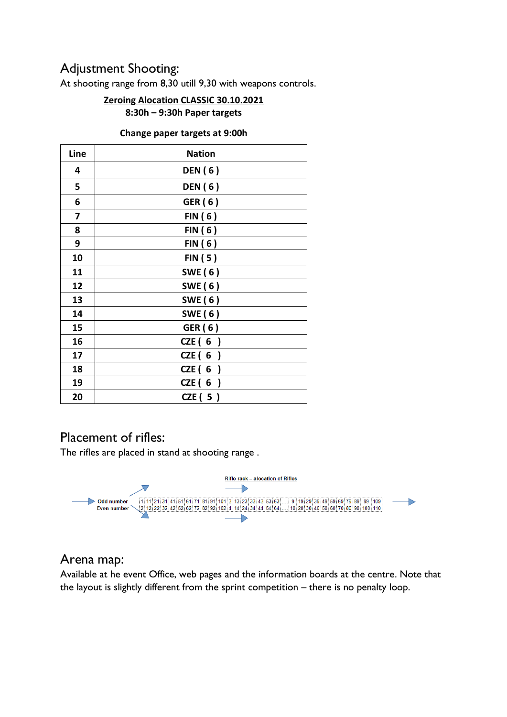## Adjustment Shooting:

At shooting range from 8,30 utill 9,30 with weapons controls.

## **Zeroing Alocation CLASSIC 30.10.2021**

**8:30h – 9:30h Paper targets**

#### **Change paper targets at 9:00h**

| Line | <b>Nation</b>  |  |
|------|----------------|--|
| 4    | <b>DEN</b> (6) |  |
| 5    | <b>DEN</b> (6) |  |
| 6    | GER (6)        |  |
| 7    | FIN(6)         |  |
| 8    | FIN(6)         |  |
| 9    | FIN(6)         |  |
| 10   | FIN(5)         |  |
| 11   | <b>SWE (6)</b> |  |
| 12   | SWE (6)        |  |
| 13   | <b>SWE (6)</b> |  |
| 14   | SWE (6)        |  |
| 15   | GER (6)        |  |
| 16   | CZE $(6)$      |  |
| 17   | CZE (6         |  |
| 18   | CZE(6)         |  |
| 19   | CZE $(6)$      |  |
| 20   | CZE ( 5 )      |  |

## Placement of rifles:

The rifles are placed in stand at shooting range .



### Arena map:

Available at he event Office, web pages and the information boards at the centre. Note that the layout is slightly different from the sprint competition – there is no penalty loop.